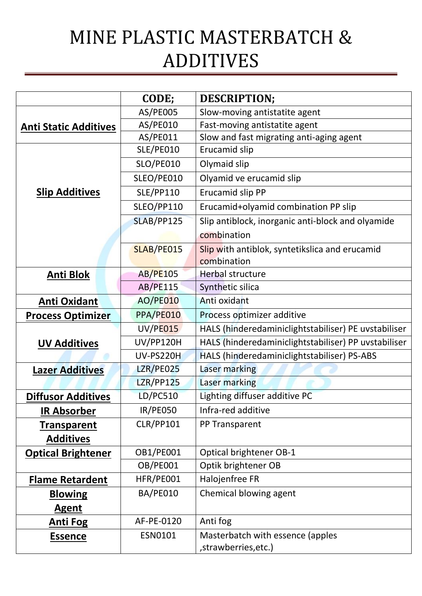## MINE PLASTIC MASTERBATCH & ADDITIVES

|                              | CODE;            | <b>DESCRIPTION;</b>                                  |
|------------------------------|------------------|------------------------------------------------------|
| <b>Anti Static Additives</b> | AS/PE005         | Slow-moving antistatite agent                        |
|                              | AS/PE010         | Fast-moving antistatite agent                        |
|                              | AS/PE011         | Slow and fast migrating anti-aging agent             |
| <b>Slip Additives</b>        | SLE/PE010        | Erucamid slip                                        |
|                              | <b>SLO/PE010</b> | Olymaid slip                                         |
|                              | SLEO/PE010       | Olyamid ve erucamid slip                             |
|                              | <b>SLE/PP110</b> | Erucamid slip PP                                     |
|                              | SLEO/PP110       | Erucamid+olyamid combination PP slip                 |
|                              | SLAB/PP125       | Slip antiblock, inorganic anti-block and olyamide    |
|                              |                  | combination                                          |
|                              | SLAB/PE015       | Slip with antiblok, syntetikslica and erucamid       |
|                              |                  | combination                                          |
| <b>Anti Blok</b>             | <b>AB/PE105</b>  | <b>Herbal structure</b>                              |
|                              | <b>AB/PE115</b>  | Synthetic silica                                     |
| <b>Anti Oxidant</b>          | <b>AO/PE010</b>  | Anti oxidant                                         |
| <b>Process Optimizer</b>     | PPA/PE010        | Process optimizer additive                           |
| <b>UV Additives</b>          | <b>UV/PE015</b>  | HALS (hinderedaminiclightstabiliser) PE uvstabiliser |
|                              | <b>UV/PP120H</b> | HALS (hinderedaminiclightstabiliser) PP uvstabiliser |
|                              | UV-PS220H        | HALS (hinderedaminiclightstabiliser) PS-ABS          |
| <b>Lazer Additives</b>       | <b>LZR/PE025</b> | Laser marking                                        |
|                              | <b>LZR/PP125</b> | Laser marking                                        |
| <b>Diffusor Additives</b>    | <b>LD/PC510</b>  | Lighting diffuser additive PC                        |
| <b>IR Absorber</b>           | <b>IR/PE050</b>  | Infra-red additive                                   |
| <b>Transparent</b>           | <b>CLR/PP101</b> | PP Transparent                                       |
| <b>Additives</b>             |                  |                                                      |
| <b>Optical Brightener</b>    | <b>OB1/PE001</b> | <b>Optical brightener OB-1</b>                       |
|                              | OB/PE001         | Optik brightener OB                                  |
| <b>Flame Retardent</b>       | HFR/PE001        | Halojenfree FR                                       |
| <b>Blowing</b>               | BA/PE010         | Chemical blowing agent                               |
| <b>Agent</b>                 |                  |                                                      |
| <b>Anti Fog</b>              | AF-PE-0120       | Anti fog                                             |
| <b>Essence</b>               | ESN0101          | Masterbatch with essence (apples                     |
|                              |                  | , strawberries, etc.)                                |